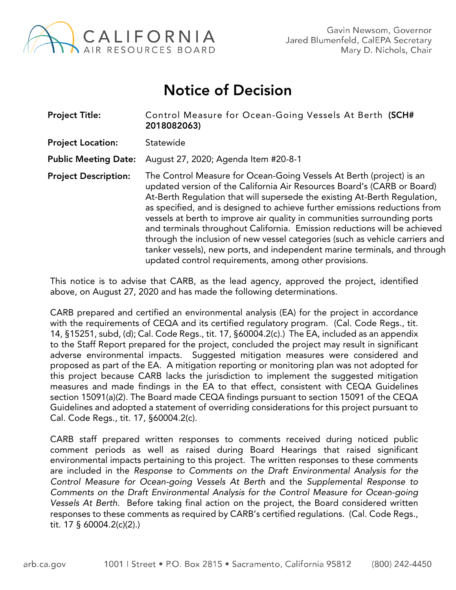

## Notice of Decision

| <b>Project Title:</b>       | Control Measure for Ocean-Going Vessels At Berth (SCH#<br>2018082063)                                                                                                                                                                                                                                                                                                                                                                                                                                                                                                                                                                                                                     |
|-----------------------------|-------------------------------------------------------------------------------------------------------------------------------------------------------------------------------------------------------------------------------------------------------------------------------------------------------------------------------------------------------------------------------------------------------------------------------------------------------------------------------------------------------------------------------------------------------------------------------------------------------------------------------------------------------------------------------------------|
| <b>Project Location:</b>    | Statewide                                                                                                                                                                                                                                                                                                                                                                                                                                                                                                                                                                                                                                                                                 |
| <b>Public Meeting Date:</b> | August 27, 2020; Agenda Item #20-8-1                                                                                                                                                                                                                                                                                                                                                                                                                                                                                                                                                                                                                                                      |
| <b>Project Description:</b> | The Control Measure for Ocean-Going Vessels At Berth (project) is an<br>updated version of the California Air Resources Board's (CARB or Board)<br>At-Berth Regulation that will supersede the existing At-Berth Regulation,<br>as specified, and is designed to achieve further emissions reductions from<br>vessels at berth to improve air quality in communities surrounding ports<br>and terminals throughout California. Emission reductions will be achieved<br>through the inclusion of new vessel categories (such as vehicle carriers and<br>tanker vessels), new ports, and independent marine terminals, and through<br>updated control requirements, among other provisions. |

This notice is to advise that CARB, as the lead agency, approved the project, identified above, on August 27, 2020 and has made the following determinations.

CARB prepared and certified an environmental analysis (EA) for the project in accordance with the requirements of CEQA and its certified regulatory program. (Cal. Code Regs., tit. 14, §15251, subd, (d); Cal. Code Regs., tit. 17, §60004.2(c).) The EA, included as an appendix to the Staff Report prepared for the project, concluded the project may result in significant adverse environmental impacts. Suggested mitigation measures were considered and proposed as part of the EA. A mitigation reporting or monitoring plan was not adopted for this project because CARB lacks the jurisdiction to implement the suggested mitigation measures and made findings in the EA to that effect, consistent with CEQA Guidelines section 15091(a)(2). The Board made CEQA findings pursuant to section 15091 of the CEQA Guidelines and adopted a statement of overriding considerations for this project pursuant to Cal. Code Regs., tit. 17, §60004.2(c).

CARB staff prepared written responses to comments received during noticed public comment periods as well as raised during Board Hearings that raised significant environmental impacts pertaining to this project. The written responses to these comments are included in the *Response to Comments on the Draft Environmental Analysis for the Control Measure for Ocean-going Vessels At Berth* and the *Supplemental Response to Comments on the Draft Environmental Analysis for the Control Measure for Ocean-going Vessels At Berth*. Before taking final action on the project, the Board considered written responses to these comments as required by CARB's certified regulations. (Cal. Code Regs., tit. 17 § 60004.2(c)(2).)